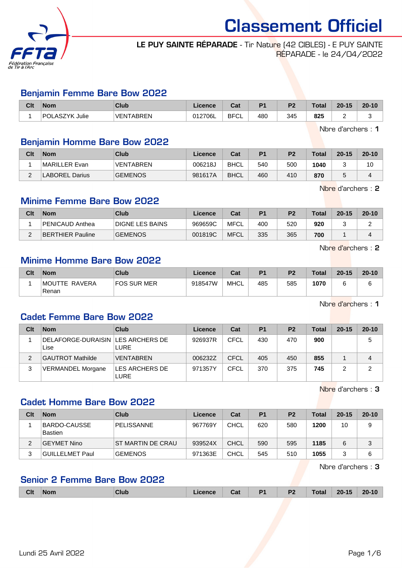

### LE PUY SAINTE RÉPARADE - Tir Nature (42 CIBLES) - E PUY SAINTE RÉPARADE - le 24/04/2022

#### Benjamin Femme Bare Bow 2022

| Clt | <b>Nom</b>     | Club             | ∠icence | $\sim$<br>Ja,     | D <sub>1</sub> | P <sub>2</sub> | <b>Total</b> | $20 - 15$ | $20 - 10$ |
|-----|----------------|------------------|---------|-------------------|----------------|----------------|--------------|-----------|-----------|
|     | POLASZYK Julie | <b>VENTABREN</b> | 012706L | <b>BFCI</b><br>◡∟ | 480            | 345            | 825          | -         |           |

Nbre d'archers : 1

### Benjamin Homme Bare Bow 2022

| Clt    | <b>Nom</b>            | Club             | Licence | Cat         | P <sub>1</sub> | P <sub>2</sub> | <b>Total</b> | $20 - 15$ | $20 - 10$ |
|--------|-----------------------|------------------|---------|-------------|----------------|----------------|--------------|-----------|-----------|
|        | MARILLER Evan         | <b>VENTABREN</b> | 006218J | <b>BHCL</b> | 540            | 500            | 1040         |           | 10        |
| $\sim$ | <b>LABOREL Darius</b> | <b>GEMENOS</b>   | 981617A | <b>BHCL</b> | 460            | 410            | 870          |           |           |

Nbre d'archers : 2

# Minime Femme Bare Bow 2022

| Clt | <b>Nom</b>       | Club                   | ∟icence | Cat         | P <sub>1</sub> | P <sub>2</sub> | <b>Total</b> | $20 - 15$ | $20 - 10$ |
|-----|------------------|------------------------|---------|-------------|----------------|----------------|--------------|-----------|-----------|
|     | PENICAUD Anthea  | <b>DIGNE LES BAINS</b> | 969659C | MFCL        | 400            | 520            | 920          |           |           |
|     | BERTHIER Pauline | <b>GEMENOS</b>         | 001819C | <b>MFCL</b> | 335            | 365            | 700          |           |           |

Nbre d'archers : 2

### Minime Homme Bare Bow 2022

| Clt | <b>Nom</b>              | Club        | Licence | Cat  | P <sub>1</sub> | <b>P2</b> | <b>Total</b> | $20 - 15$ | $20 - 10$ |
|-----|-------------------------|-------------|---------|------|----------------|-----------|--------------|-----------|-----------|
|     | IMOUTTE RAVERA<br>Renan | FOS SUR MER | 918547W | MHCL | 485            | 585       | 1070         |           |           |

Nbre d'archers : 1

### Cadet Femme Bare Bow 2022

| Clt | <b>Nom</b>                                  | Club                   | Licence | Cat         | P <sub>1</sub> | P <sub>2</sub> | <b>Total</b> | $20 - 15$ | $20 - 10$ |
|-----|---------------------------------------------|------------------------|---------|-------------|----------------|----------------|--------------|-----------|-----------|
|     | DELAFORGE-DURAISIN   LES ARCHERS DE<br>Lise | LURE                   | 926937R | CFCL        | 430            | 470            | 900          |           | 5         |
|     | GAUTROT Mathilde                            | <b>VENTABREN</b>       | 006232Z | <b>CFCL</b> | 405            | 450            | 855          |           | 4         |
| 3   | VERMANDEL Morgane                           | LES ARCHERS DE<br>LURE | 971357Y | CFCL        | 370            | 375            | 745          |           | 2         |

Nbre d'archers : 3

### Cadet Homme Bare Bow 2022

| Clt | <b>Nom</b>               | Club               | Licence | Cat         | P <sub>1</sub> | P <sub>2</sub> | Total | $20 - 15$ | $20 - 10$ |
|-----|--------------------------|--------------------|---------|-------------|----------------|----------------|-------|-----------|-----------|
|     | BARDO-CAUSSE <br>Bastien | PELISSANNE         | 967769Y | <b>CHCL</b> | 620            | 580            | 1200  | 10        | 9         |
| 2   | GEYMET Nino              | IST MARTIN DE CRAU | 939524X | <b>CHCL</b> | 590            | 595            | 1185  |           | ◠<br>J    |
| 3   | GUILLELMET Paul          | <b>GEMENOS</b>     | 971363E | CHCL        | 545            | 510            | 1055  |           | 6         |

Nbre d'archers : 3

# Senior 2 Femme Bare Bow 2022

|  | <b>Clt</b> | Nom |  | _____ | ual | D <sub>4</sub> | P <sub>2</sub> | $\mathbf{O}$ | 4E<br>-- | $20 - 10$ |
|--|------------|-----|--|-------|-----|----------------|----------------|--------------|----------|-----------|
|--|------------|-----|--|-------|-----|----------------|----------------|--------------|----------|-----------|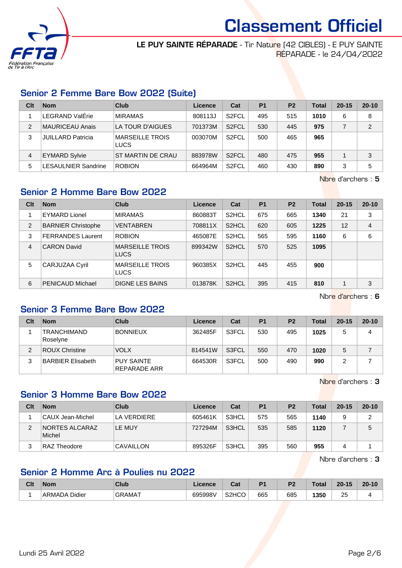

LE PUY SAINTE RÉPARADE - Tir Nature (42 CIBLES) - E PUY SAINTE RÉPARADE - le 24/04/2022

## Senior 2 Femme Bare Bow 2022 (Suite)

| Clt | <b>Nom</b>                | Club                                  | Licence | Cat                | <b>P1</b> | P <sub>2</sub> | Total | $20 - 15$ | $20 - 10$ |
|-----|---------------------------|---------------------------------------|---------|--------------------|-----------|----------------|-------|-----------|-----------|
|     | <b>LEGRAND ValErie</b>    | <b>MIRAMAS</b>                        | 808113J | S <sub>2</sub> FCL | 495       | 515            | 1010  | 6         | 8         |
| 2   | MAURICEAU Anais           | LA TOUR D'AIGUES                      | 701373M | S <sub>2</sub> FCL | 530       | 445            | 975   |           | 2         |
| 3   | <b>JUILLARD Patricia</b>  | <b>MARSEILLE TROIS</b><br><b>LUCS</b> | 003070M | S <sub>2</sub> FCL | 500       | 465            | 965   |           |           |
| 4   | <b>EYMARD Sylvie</b>      | <b>ST MARTIN DE CRAU</b>              | 883978W | S <sub>2</sub> FCL | 480       | 475            | 955   |           | 3         |
| 5   | <b>ESAULNIER Sandrine</b> | <b>ROBION</b>                         | 664964M | S <sub>2</sub> FCL | 460       | 430            | 890   | 3         | 5         |

Nbre d'archers : 5

# Senior 2 Homme Bare Bow 2022

| Clt            | <b>Nom</b>                | Club                                  | Licence | Cat                | <b>P1</b> | P <sub>2</sub> | <b>Total</b> | $20 - 15$ | $20 - 10$ |
|----------------|---------------------------|---------------------------------------|---------|--------------------|-----------|----------------|--------------|-----------|-----------|
|                | <b>EYMARD Lionel</b>      | <b>MIRAMAS</b>                        | 860883T | S <sub>2</sub> HCL | 675       | 665            | 1340         | 21        | 3         |
| 2              | <b>BARNIER Christophe</b> | <b>VENTABREN</b>                      | 708811X | S <sub>2</sub> HCL | 620       | 605            | 1225         | 12        | 4         |
| 3              | <b>FERRANDES Laurent</b>  | <b>ROBION</b>                         | 465087E | S <sub>2</sub> HCL | 565       | 595            | 1160         | 6         | 6         |
| $\overline{4}$ | <b>CARON David</b>        | <b>MARSEILLE TROIS</b><br>LUCS        | 899342W | S <sub>2</sub> HCL | 570       | 525            | 1095         |           |           |
| 5              | CARJUZAA Cyril            | <b>MARSEILLE TROIS</b><br><b>LUCS</b> | 960385X | S <sub>2</sub> HCL | 445       | 455            | 900          |           |           |
| 6              | <b>PENICAUD Michael</b>   | DIGNE LES BAINS                       | 013878K | S <sub>2</sub> HCL | 395       | 415            | 810          |           | 3         |

Nbre d'archers : 6

# Senior 3 Femme Bare Bow 2022

| Clt | <b>Nom</b>                     | Club                              | Licence | Cat   | <b>P1</b> | P <sub>2</sub> | <b>Total</b> | $20 - 15$ | $20 - 10$ |
|-----|--------------------------------|-----------------------------------|---------|-------|-----------|----------------|--------------|-----------|-----------|
|     | <b>TRANCHIMAND</b><br>Roselyne | <b>BONNIEUX</b>                   | 362485F | S3FCL | 530       | 495            | 1025         | 5         | 4         |
| 2   | <b>ROUX Christine</b>          | <b>VOLX</b>                       | 814541W | S3FCL | 550       | 470            | 1020         |           |           |
| 3   | <b>BARBIER Elisabeth</b>       | <b>PUY SAINTE</b><br>REPARADE ARR | 664530R | S3FCL | 500       | 490            | 990          |           |           |

Nbre d'archers : 3

### Senior 3 Homme Bare Bow 2022

| Clt | <b>Nom</b>                      | Club             | Licence | Cat   | P <sub>1</sub> | P <sub>2</sub> | Total | $20 - 15$ | $20 - 10$ |
|-----|---------------------------------|------------------|---------|-------|----------------|----------------|-------|-----------|-----------|
|     | CAUX Jean-Michel                | LA VERDIERE      | 605461K | S3HCL | 575            | 565            | 1140  |           | 2         |
| 2   | <b>NORTES ALCARAZ</b><br>Michel | LE MUY           | 727294M | S3HCL | 535            | 585            | 1120  |           | 5         |
| 3   | RAZ Theodore                    | <b>CAVAILLON</b> | 895326F | S3HCL | 395            | 560            | 955   | 4         |           |

Nbre d'archers : 3

# Senior 2 Homme Arc à Poulies nu 2022

| Clt | <b>Nom</b>       | Club          | Licence | ∼~∗<br>ual                     | D <sub>1</sub> | D <sub>2</sub> | Total | $20 - 15$ | $20 - 10$ |
|-----|------------------|---------------|---------|--------------------------------|----------------|----------------|-------|-----------|-----------|
|     | Didier<br>ARMADA | <b>GRAMAT</b> | 695998V | S <sub>2</sub> H <sub>CO</sub> | 665            | 685            | 1350  | つら<br>∠   |           |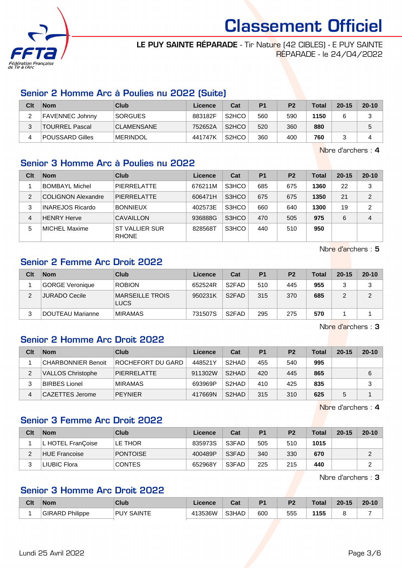

LE PUY SAINTE RÉPARADE - Tir Nature (42 CIBLES) - E PUY SAINTE RÉPARADE - le 24/04/2022

## Senior 2 Homme Arc à Poulies nu 2022 (Suite)

| Clt | <b>Nom</b>      | Club              | Licence | Cat                            | P <sub>1</sub> | P <sub>2</sub> | Total | $20 - 15$ | $20 - 10$ |
|-----|-----------------|-------------------|---------|--------------------------------|----------------|----------------|-------|-----------|-----------|
| -   | FAVENNEC Johnny | <b>SORGUES</b>    | 883182F | S <sub>2</sub> H <sub>CO</sub> | 560            | 590            | 1150  |           | J         |
|     | TOURREL Pascal  | <b>CLAMENSANE</b> | 752652A | S <sub>2</sub> HCO             | 520            | 360            | 880   |           | 5         |
|     | POUSSARD Gilles | <b>MERINDOL</b>   | 441747K | S <sub>2</sub> HCO             | 360            | 400            | 760   |           |           |

Nbre d'archers : 4

### Senior 3 Homme Arc à Poulies nu 2022

| Clt           | <b>Nom</b>                | Club                                  | Licence | Cat   | P <sub>1</sub> | P <sub>2</sub> | <b>Total</b> | $20 - 15$ | $20 - 10$ |
|---------------|---------------------------|---------------------------------------|---------|-------|----------------|----------------|--------------|-----------|-----------|
|               | <b>BOMBAYL Michel</b>     | PIERRELATTE                           | 676211M | S3HCO | 685            | 675            | 1360         | 22        | 3         |
| $\mathcal{P}$ | <b>COLIGNON Alexandre</b> | <b>PIERRELATTE</b>                    | 606471H | S3HCO | 675            | 675            | 1350         | 21        | 2         |
| 3             | <b>INAREJOS Ricardo</b>   | <b>BONNIEUX</b>                       | 402573E | S3HCO | 660            | 640            | 1300         | 19        | 2         |
| 4             | <b>HENRY Herve</b>        | CAVAILLON                             | 936888G | S3HCO | 470            | 505            | 975          | 6         | 4         |
| 5             | MICHEL Maxime             | <b>ST VALLIER SUR</b><br><b>RHONE</b> | 828568T | S3HCO | 440            | 510            | 950          |           |           |

Nbre d'archers : 5

## Senior 2 Femme Arc Droit 2022

| Clt | <b>Nom</b>       | Club                    | Licence | Cat                | P <sub>1</sub> | P <sub>2</sub> | Total | $20 - 15$ | $20 - 10$ |
|-----|------------------|-------------------------|---------|--------------------|----------------|----------------|-------|-----------|-----------|
|     | GORGE Veronique  | <b>ROBION</b>           | 652524R | S <sub>2</sub> FAD | 510            | 445            | 955   |           | ຈ<br>J    |
| c   | JURADO Cecile    | MARSEILLE TROIS<br>LUCS | 950231K | S <sub>2</sub> FAD | 315            | 370            | 685   |           | っ         |
|     | DOUTEAU Marianne | <b>MIRAMAS</b>          | 731507S | S <sub>2</sub> FAD | 295            | 275            | 570   |           |           |

Nbre d'archers : 3

## Senior 2 Homme Arc Droit 2022

| Clt | <b>Nom</b>                | Club               | Licence | Cat                | P <sub>1</sub> | P <sub>2</sub> | <b>Total</b> | $20 - 15$ | $20 - 10$ |
|-----|---------------------------|--------------------|---------|--------------------|----------------|----------------|--------------|-----------|-----------|
|     | <b>CHARBONNIER Benoit</b> | ROCHEFORT DU GARD  | 448521Y | S <sub>2</sub> HAD | 455            | 540            | 995          |           |           |
|     | <b>VALLOS Christophe</b>  | <b>PIERRELATTE</b> | 911302W | S <sub>2</sub> HAD | 420            | 445            | 865          |           | 6         |
| 3   | <b>BIRBES Lionel</b>      | <b>MIRAMAS</b>     | 693969P | S <sub>2</sub> HAD | 410            | 425            | 835          |           | 3         |
| 4   | CAZETTES Jerome           | <b>PEYNIER</b>     | 417669N | S <sub>2</sub> HAD | 315            | 310            | 625          |           |           |

Nbre d'archers : 4

# Senior 3 Femme Arc Droit 2022

| Clt | <b>Nom</b>           | Club            | Licence | Cat   | P <sub>1</sub> | P <sub>2</sub> | <b>Total</b> | $20 - 15$ | $20 - 10$ |
|-----|----------------------|-----------------|---------|-------|----------------|----------------|--------------|-----------|-----------|
|     | L HOTEL FranÇoise    | LE THOR         | 835973S | S3FAD | 505            | 510            | 1015         |           |           |
| C   | <b>HUE Francoise</b> | <b>PONTOISE</b> | 400489P | S3FAD | 340            | 330            | 670          |           | ◠         |
|     | LIUBIC Flora         | <b>CONTES</b>   | 652968Y | S3FAD | 225            | 215            | 440          |           |           |

Nbre d'archers : 3

# Senior 3 Homme Arc Droit 2022

| Clt | <b>Nom</b>                | <b>Club</b>                 | <b>Licence</b> | $\sim$<br>ual | D <sub>1</sub> | nη  | <b>Total</b> | $20 - 15$ | $20 - 10$ |
|-----|---------------------------|-----------------------------|----------------|---------------|----------------|-----|--------------|-----------|-----------|
|     | Philippe<br><b>GIRARD</b> | <b>SAINTE</b><br><b>PUY</b> | 413536W        | S3HAD         | 600            | 555 | 1155         |           |           |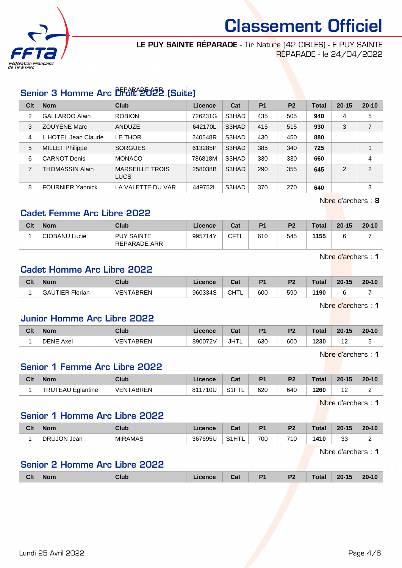

LE PUY SAINTE RÉPARADE - Tir Nature (42 CIBLES) - E PUY SAINTE RÉPARADE - le 24/04/2022

# Senior 3 Homme Arc Droit 2022 (Suite)

| Clt            | <b>Nom</b>              | Club                                  | Licence | Cat   | P <sub>1</sub> | P <sub>2</sub> | <b>Total</b> | $20 - 15$      | $20 - 10$ |
|----------------|-------------------------|---------------------------------------|---------|-------|----------------|----------------|--------------|----------------|-----------|
| $\overline{2}$ | <b>GALLARDO Alain</b>   | <b>ROBION</b>                         | 726231G | S3HAD | 435            | 505            | 940          | 4              | 5         |
| 3              | <b>ZOUYENE Marc</b>     | <b>ANDUZE</b>                         | 642170L | S3HAD | 415            | 515            | 930          | 3              | 7         |
| 4              | L HOTEL Jean Claude     | LE THOR                               | 240548R | S3HAD | 430            | 450            | 880          |                |           |
| 5              | <b>MILLET Philippe</b>  | <b>SORGUES</b>                        | 613285P | S3HAD | 385            | 340            | 725          |                |           |
| 6              | <b>CARNOT Denis</b>     | <b>MONACO</b>                         | 786818M | S3HAD | 330            | 330            | 660          |                | 4         |
| $\overline{7}$ | <b>THOMASSIN Alain</b>  | <b>MARSEILLE TROIS</b><br><b>LUCS</b> | 258038B | S3HAD | 290            | 355            | 645          | $\mathfrak{p}$ | 2         |
| 8              | <b>FOURNIER Yannick</b> | LA VALETTE DU VAR                     | 449752L | S3HAD | 370            | 270            | 640          |                | 3         |

Nbre d'archers : 8

# Cadet Femme Arc Libre 2022

| Clt | <b>Nom</b>                 | Club                              | Licence | Cat | P <sub>1</sub> | P <sub>2</sub> | <b>Total</b> | $20 - 15$ | $20 - 10$ |
|-----|----------------------------|-----------------------------------|---------|-----|----------------|----------------|--------------|-----------|-----------|
|     | <sup>∣</sup> CIOBANU Lucie | <b>PUY SAINTE</b><br>REPARADE ARR | 995714Y | CFT | 610            | 545            | 1155         |           |           |

Nbre d'archers : 1

### Cadet Homme Arc Libre 2022

| Clt | <b>Nom</b>      | Club             | <b>Licence</b> | Cat         | D4  | D0  | Total | $20 - 15$ | $20 - 10$ |
|-----|-----------------|------------------|----------------|-------------|-----|-----|-------|-----------|-----------|
|     | GAUTIER Florian | <b>VENTABREN</b> | 960334S        | ∩нт<br>◡▯▯∟ | 600 | 590 | 1190  |           |           |

Nbre d'archers : 1

### Junior Homme Arc Libre 2022

| Clt | <b>Nom</b>       | <b>Club</b>      | Licence | Cat         | D4  | D <sub>0</sub> | <b>Total</b> | $20 - 15$   | $20 - 10$ |
|-----|------------------|------------------|---------|-------------|-----|----------------|--------------|-------------|-----------|
|     | <b>DENE Axel</b> | <b>VENTABREN</b> | 890072V | <b>JHTL</b> | 630 | 600            | 1230         | $\sim$<br>. |           |

Nbre d'archers : 1

# Senior 1 Femme Arc Libre 2022

| Clt | <b>Nom</b>                    | Club             | Licence | $R_{\rm eff}$<br>ual    | D <sub>4</sub> | D2  | <b>Total</b> | $20 - 15$ | $20 - 10$ |
|-----|-------------------------------|------------------|---------|-------------------------|----------------|-----|--------------|-----------|-----------|
|     | <b>TRUTEAU</b><br>' Eglantine | <b>VENTABREN</b> | 811710U | S <sub>1</sub> FT<br>-- | 620            | 640 | 1260         | -         |           |

Nbre d'archers : 1

### Senior 1 Homme Arc Libre 2022

| Clt | <b>Nom</b>  | Club    | icence<br>-lG | نہ م<br>uai                          | D <sub>1</sub> | D <sub>2</sub> | Total | $20 - 15$    | $20 - 10$<br>1 V |
|-----|-------------|---------|---------------|--------------------------------------|----------------|----------------|-------|--------------|------------------|
|     | DRUJON Jean | MIRAMAS | 367695U       | <b>IT</b><br>$\sim$ 41<br>ا ا ت<br>. | 700            | 710            | 1410  | $\sim$<br>ບປ | -                |

Nbre d'archers : 1

### Senior 2 Homme Arc Libre 2022

| <b>CIt</b> | Non. | Club | Licence<br>______ | . .<br>ual | D <sub>4</sub><br>. . | P <sub>2</sub> | rota <sup>r</sup><br>$\sim$ $\sim$ $\sim$ $\sim$ $\sim$ $\sim$ | $20 - 15$ | $20 - 10$ |
|------------|------|------|-------------------|------------|-----------------------|----------------|----------------------------------------------------------------|-----------|-----------|
|            |      |      |                   |            |                       |                |                                                                |           |           |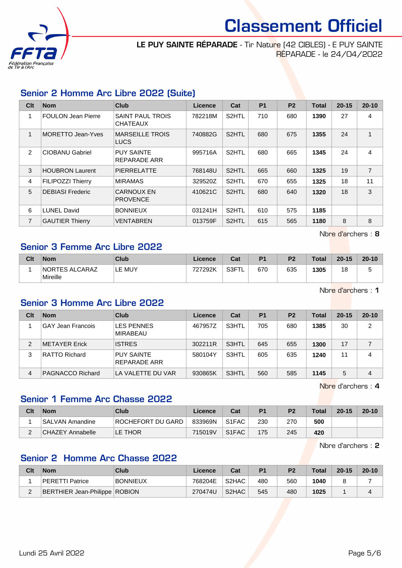

LE PUY SAINTE RÉPARADE - Tir Nature (42 CIBLES) - E PUY SAINTE RÉPARADE - le 24/04/2022

# Senior 2 Homme Arc Libre 2022 (Suite)

| Clt            | <b>Nom</b>                | <b>Club</b>                                | <b>Licence</b> | Cat                | <b>P1</b> | P <sub>2</sub> | <b>Total</b> | $20 - 15$ | $20 - 10$      |
|----------------|---------------------------|--------------------------------------------|----------------|--------------------|-----------|----------------|--------------|-----------|----------------|
| 1              | <b>FOULON Jean Pierre</b> | <b>SAINT PAUL TROIS</b><br><b>CHATEAUX</b> | 782218M        | S2HTL              | 710       | 680            | 1390         | 27        | $\overline{4}$ |
| 1              | <b>MORETTO Jean-Yves</b>  | <b>MARSEILLE TROIS</b><br><b>LUCS</b>      | 740882G        | S <sub>2</sub> HTL | 680       | 675            | 1355         | 24        | 1              |
| 2              | <b>CIOBANU Gabriel</b>    | <b>PUY SAINTE</b><br>REPARADE ARR          | 995716A        | S <sub>2</sub> HTL | 680       | 665            | 1345         | 24        | 4              |
| 3              | <b>HOUBRON Laurent</b>    | <b>PIERRELATTE</b>                         | 768148U        | S <sub>2</sub> HTL | 665       | 660            | 1325         | 19        | $\overline{7}$ |
| 4              | <b>FILIPOZZI Thierry</b>  | <b>MIRAMAS</b>                             | 329520Z        | S <sub>2</sub> HTL | 670       | 655            | 1325         | 18        | 11             |
| 5              | <b>DEBIASI Frederic</b>   | <b>CARNOUX EN</b><br><b>PROVENCE</b>       | 410621C        | S <sub>2</sub> HTL | 680       | 640            | 1320         | 18        | 3              |
| 6              | <b>LUNEL David</b>        | <b>BONNIEUX</b>                            | 031241H        | S2HTL              | 610       | 575            | 1185         |           |                |
| $\overline{7}$ | <b>GAUTIER Thierry</b>    | <b>VENTABREN</b>                           | 013759F        | S <sub>2</sub> HTL | 615       | 565            | 1180         | 8         | 8              |

Nbre d'archers : 8

### Senior 3 Femme Arc Libre 2022

| Clt | <b>Nom</b>                        | Club   | ∟icence | Cat       | P <sub>1</sub> | P <sub>2</sub> | <b>Total</b> | $20 - 15$ | $20 - 10$ |
|-----|-----------------------------------|--------|---------|-----------|----------------|----------------|--------------|-----------|-----------|
|     | <b>NORTES ALCARAZ</b><br>Mireille | LE MUY | 727292K | S3FT<br>┕ | 670            | 635            | 1305         | 18        |           |

Nbre d'archers : 1

### Senior 3 Homme Arc Libre 2022

| Clt | <b>Nom</b>               | <b>Club</b>                          | Licence | Cat   | P <sub>1</sub> | P <sub>2</sub> | Total | $20 - 15$ | $20 - 10$ |
|-----|--------------------------|--------------------------------------|---------|-------|----------------|----------------|-------|-----------|-----------|
|     | <b>GAY Jean Francois</b> | <b>LES PENNES</b><br><b>MIRABEAU</b> | 467957Z | S3HTL | 705            | 680            | 1385  | 30        | 2         |
| 2   | METAYER Erick            | <b>ISTRES</b>                        | 302211R | S3HTL | 645            | 655            | 1300  | 17        |           |
| 3   | RATTO Richard            | <b>PUY SAINTE</b><br>REPARADE ARR    | 580104Y | S3HTL | 605            | 635            | 1240  | 11        | 4         |
| 4   | PAGNACCO Richard         | LA VALETTE DU VAR                    | 930865K | S3HTL | 560            | 585            | 1145  | 5         | 4         |

Nbre d'archers : 4

# Senior 1 Femme Arc Chasse 2022

| Clt | <b>Nom</b>       | Club              | Licence | Cat                | P1  | P <sub>2</sub> | Total | $20 - 15$ | $20 - 10$ |
|-----|------------------|-------------------|---------|--------------------|-----|----------------|-------|-----------|-----------|
|     | SALVAN Amandine  | ROCHEFORT DU GARD | 833969N | S <sub>1</sub> FAC | 230 | 270            | 500   |           |           |
|     | CHAZEY Annabelle | LE THOR           | 715019V | S <sub>1</sub> FAC | 175 | 245            | 420   |           |           |

Nbre d'archers : 2

### Senior 2 Homme Arc Chasse 2022

| Clt | <b>Nom</b>                           | Club            | ∟icence⊬ | Cat                | P <sub>1</sub> | P <sub>2</sub> | Total | $20 - 15$ | $20 - 10$ |
|-----|--------------------------------------|-----------------|----------|--------------------|----------------|----------------|-------|-----------|-----------|
|     | PERETTI Patrice                      | <b>BONNIEUX</b> | 768204E  | S <sub>2</sub> HAC | 480            | 560            | 1040  |           |           |
|     | <b>BERTHIER Jean-Philippe ROBION</b> |                 | 270474U  | S <sub>2</sub> HAC | 545            | 480            | 1025  |           |           |